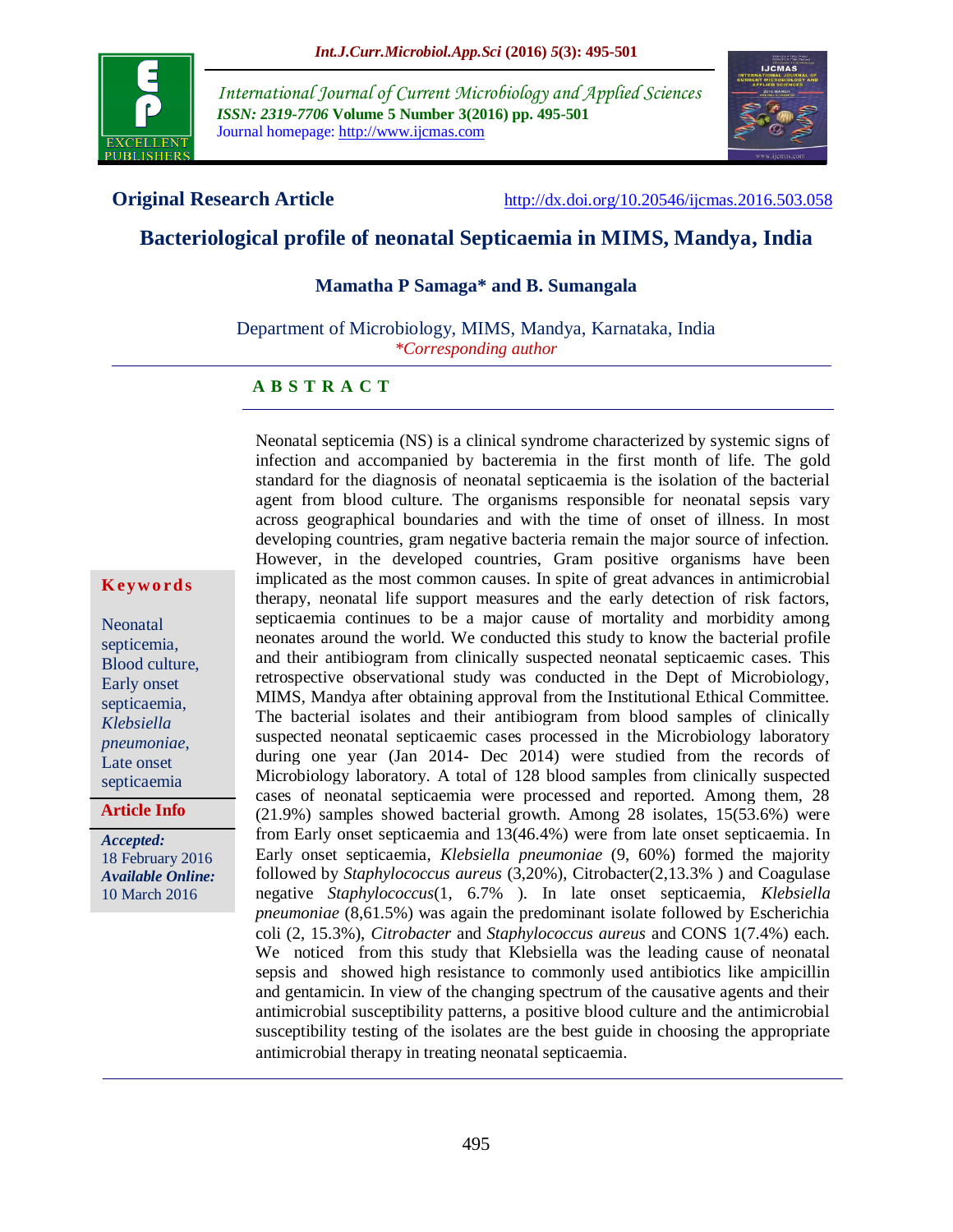

*International Journal of Current Microbiology and Applied Sciences ISSN: 2319-7706* **Volume 5 Number 3(2016) pp. 495-501** Journal homepage: http://www.ijcmas.com



**Original Research Article** <http://dx.doi.org/10.20546/ijcmas.2016.503.058>

# **Bacteriological profile of neonatal Septicaemia in MIMS, Mandya, India**

### **Mamatha P Samaga\* and B. Sumangala**

Department of Microbiology, MIMS, Mandya, Karnataka, India *\*Corresponding author*

#### **A B S T R A C T**

#### **K ey w o rd s**

Neonatal septicemia, Blood culture, Early onset septicaemia, *Klebsiella pneumoniae*, Late onset septicaemia

**Article Info**

*Accepted:*  18 February 2016 *Available Online:* 10 March 2016

Neonatal septicemia (NS) is a clinical syndrome characterized by systemic signs of infection and accompanied by bacteremia in the first month of life. The gold standard for the diagnosis of neonatal septicaemia is the isolation of the bacterial agent from blood culture. The organisms responsible for neonatal sepsis vary across geographical boundaries and with the time of onset of illness. In most developing countries, gram negative bacteria remain the major source of infection. However, in the developed countries, Gram positive organisms have been implicated as the most common causes. In spite of great advances in antimicrobial therapy, neonatal life support measures and the early detection of risk factors, septicaemia continues to be a major cause of mortality and morbidity among neonates around the world. We conducted this study to know the bacterial profile and their antibiogram from clinically suspected neonatal septicaemic cases. This retrospective observational study was conducted in the Dept of Microbiology, MIMS, Mandya after obtaining approval from the Institutional Ethical Committee. The bacterial isolates and their antibiogram from blood samples of clinically suspected neonatal septicaemic cases processed in the Microbiology laboratory during one year (Jan 2014- Dec 2014) were studied from the records of Microbiology laboratory. A total of 128 blood samples from clinically suspected cases of neonatal septicaemia were processed and reported. Among them, 28 (21.9%) samples showed bacterial growth. Among 28 isolates, 15(53.6%) were from Early onset septicaemia and 13(46.4%) were from late onset septicaemia. In Early onset septicaemia, *Klebsiella pneumoniae* (9, 60%) formed the majority followed by *Staphylococcus aureus* (3,20%), Citrobacter(2,13.3% ) and Coagulase negative *Staphylococcus*(1, 6.7% ). In late onset septicaemia, *Klebsiella pneumoniae* (8,61.5%) was again the predominant isolate followed by Escherichia coli (2, 15.3%), *Citrobacter* and *Staphylococcus aureus* and CONS 1(7.4%) each. We noticed from this study that Klebsiella was the leading cause of neonatal sepsis and showed high resistance to commonly used antibiotics like ampicillin and gentamicin. In view of the changing spectrum of the causative agents and their antimicrobial susceptibility patterns, a positive blood culture and the antimicrobial susceptibility testing of the isolates are the best guide in choosing the appropriate antimicrobial therapy in treating neonatal septicaemia.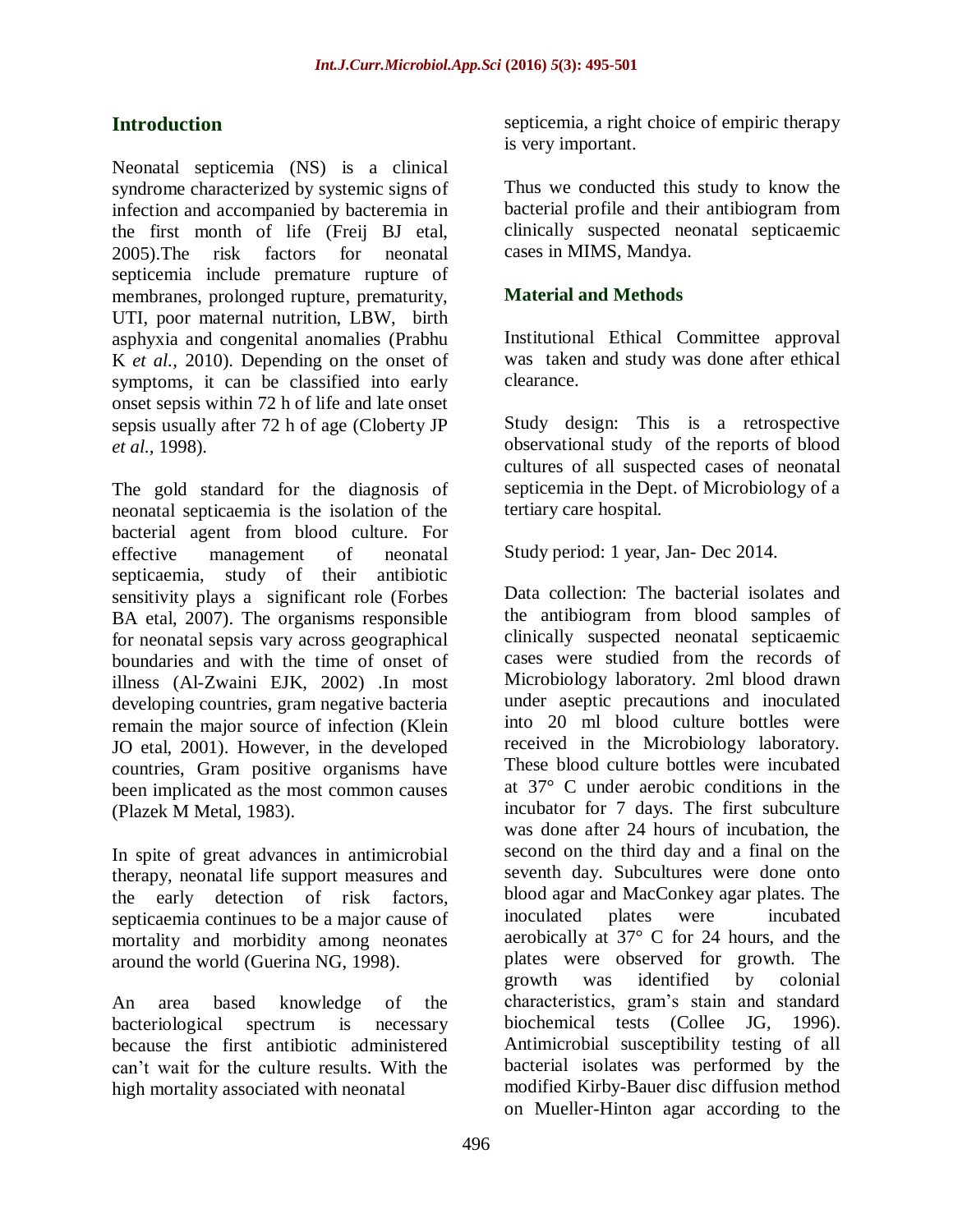# **Introduction**

Neonatal septicemia (NS) is a clinical syndrome characterized by systemic signs of infection and accompanied by bacteremia in the first month of life (Freij BJ etal, 2005).The risk factors for neonatal septicemia include premature rupture of membranes, prolonged rupture, prematurity, UTI, poor maternal nutrition, LBW, birth asphyxia and congenital anomalies (Prabhu K *et al.,* 2010). Depending on the onset of symptoms, it can be classified into early onset sepsis within 72 h of life and late onset sepsis usually after 72 h of age (Cloberty JP *et al.,* 1998).

The gold standard for the diagnosis of neonatal septicaemia is the isolation of the bacterial agent from blood culture. For effective management of neonatal septicaemia, study of their antibiotic sensitivity plays a significant role (Forbes BA etal, 2007). The organisms responsible for neonatal sepsis vary across geographical boundaries and with the time of onset of illness (Al-Zwaini EJK, 2002) .In most developing countries, gram negative bacteria remain the major source of infection (Klein JO etal, 2001). However, in the developed countries, Gram positive organisms have been implicated as the most common causes (Plazek M Metal, 1983).

In spite of great advances in antimicrobial therapy, neonatal life support measures and the early detection of risk factors, septicaemia continues to be a major cause of mortality and morbidity among neonates around the world (Guerina NG, 1998).

An area based knowledge of the bacteriological spectrum is necessary because the first antibiotic administered can't wait for the culture results. With the high mortality associated with neonatal

septicemia, a right choice of empiric therapy is very important.

Thus we conducted this study to know the bacterial profile and their antibiogram from clinically suspected neonatal septicaemic cases in MIMS, Mandya.

# **Material and Methods**

Institutional Ethical Committee approval was taken and study was done after ethical clearance.

Study design: This is a retrospective observational study of the reports of blood cultures of all suspected cases of neonatal septicemia in the Dept. of Microbiology of a tertiary care hospital.

Study period: 1 year, Jan- Dec 2014.

Data collection: The bacterial isolates and the antibiogram from blood samples of clinically suspected neonatal septicaemic cases were studied from the records of Microbiology laboratory. 2ml blood drawn under aseptic precautions and inoculated into 20 ml blood culture bottles were received in the Microbiology laboratory. These blood culture bottles were incubated at 37° C under aerobic conditions in the incubator for 7 days. The first subculture was done after 24 hours of incubation, the second on the third day and a final on the seventh day. Subcultures were done onto blood agar and MacConkey agar plates. The inoculated plates were incubated aerobically at 37° C for 24 hours, and the plates were observed for growth. The growth was identified by colonial characteristics, gram's stain and standard biochemical tests (Collee JG, 1996). Antimicrobial susceptibility testing of all bacterial isolates was performed by the modified Kirby-Bauer disc diffusion method on Mueller-Hinton agar according to the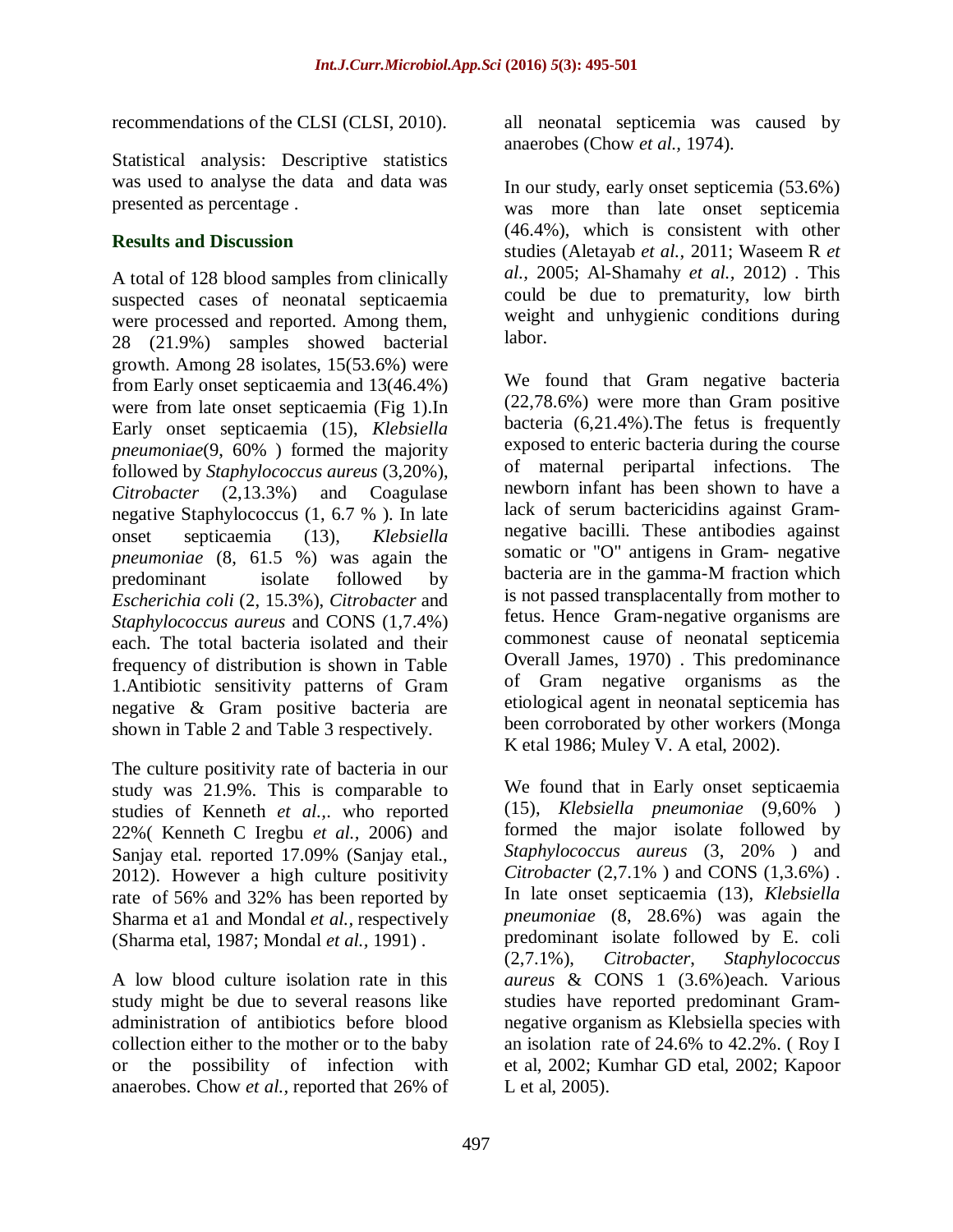recommendations of the CLSI (CLSI, 2010).

Statistical analysis: Descriptive statistics was used to analyse the data and data was presented as percentage .

# **Results and Discussion**

A total of 128 blood samples from clinically suspected cases of neonatal septicaemia were processed and reported. Among them, 28 (21.9%) samples showed bacterial growth. Among 28 isolates, 15(53.6%) were from Early onset septicaemia and 13(46.4%) were from late onset septicaemia (Fig 1).In Early onset septicaemia (15), *Klebsiella pneumoniae*(9, 60% ) formed the majority followed by *Staphylococcus aureus* (3,20%), *Citrobacter* (2,13.3%) and Coagulase negative Staphylococcus (1, 6.7 % ). In late onset septicaemia (13), *Klebsiella pneumoniae* (8, 61.5 %) was again the predominant isolate followed by *Escherichia coli* (2, 15.3%), *Citrobacter* and *Staphylococcus aureus* and CONS (1,7.4%) each. The total bacteria isolated and their frequency of distribution is shown in Table 1.Antibiotic sensitivity patterns of Gram negative & Gram positive bacteria are shown in Table 2 and Table 3 respectively.

The culture positivity rate of bacteria in our study was 21.9%. This is comparable to studies of Kenneth *et al.,*. who reported 22%( Kenneth C Iregbu *et al.,* 2006) and Sanjay etal. reported 17.09% (Sanjay etal., 2012). However a high culture positivity rate of 56% and 32% has been reported by Sharma et a1 and Mondal *et al.,* respectively (Sharma etal, 1987; Mondal *et al.,* 1991) .

A low blood culture isolation rate in this study might be due to several reasons like administration of antibiotics before blood collection either to the mother or to the baby or the possibility of infection with anaerobes. Chow *et al.,* reported that 26% of

all neonatal septicemia was caused by anaerobes (Chow *et al.,* 1974).

In our study, early onset septicemia (53.6%) was more than late onset septicemia (46.4%), which is consistent with other studies (Aletayab *et al.,* 2011; Waseem R *et al.,* 2005; Al-Shamahy *et al.,* 2012) . This could be due to prematurity, low birth weight and unhygienic conditions during labor.

We found that Gram negative bacteria (22,78.6%) were more than Gram positive bacteria (6,21.4%).The fetus is frequently exposed to enteric bacteria during the course of maternal peripartal infections. The newborn infant has been shown to have a lack of serum bactericidins against Gramnegative bacilli. These antibodies against somatic or "O" antigens in Gram- negative bacteria are in the gamma-M fraction which is not passed transplacentally from mother to fetus. Hence Gram-negative organisms are commonest cause of neonatal septicemia Overall James, 1970) . This predominance of Gram negative organisms as the etiological agent in neonatal septicemia has been corroborated by other workers (Monga K etal 1986; Muley V. A etal, 2002).

We found that in Early onset septicaemia (15), *Klebsiella pneumoniae* (9,60% ) formed the major isolate followed by *Staphylococcus aureus* (3, 20% ) and *Citrobacter* (2,7.1% ) and CONS (1,3.6%) . In late onset septicaemia (13), *Klebsiella pneumoniae* (8, 28.6%) was again the predominant isolate followed by E. coli (2,7.1%), *Citrobacter*, *Staphylococcus aureus* & CONS 1 (3.6%)each. Various studies have reported predominant Gramnegative organism as Klebsiella species with an isolation rate of 24.6% to 42.2%. ( Roy I et al, 2002; Kumhar GD etal, 2002; Kapoor L et al, 2005).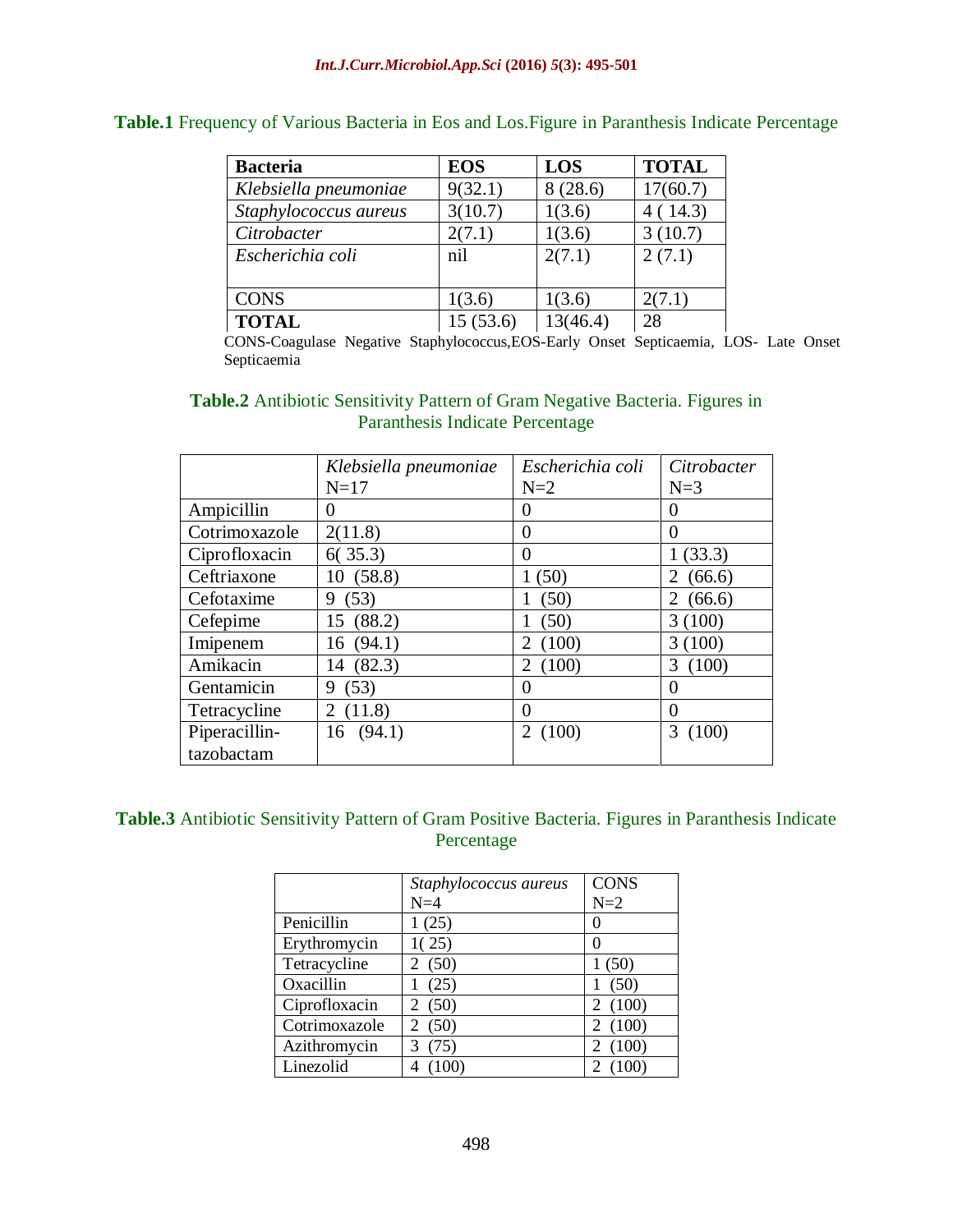| <b>Bacteria</b>       | <b>EOS</b> | <b>LOS</b> | <b>TOTAL</b> |
|-----------------------|------------|------------|--------------|
| Klebsiella pneumoniae | 9(32.1)    | 8(28.6)    | 17(60.7)     |
| Staphylococcus aureus | 3(10.7)    | 1(3.6)     | 4(14.3)      |
| Citrobacter           | 2(7.1)     | 1(3.6)     | 3(10.7)      |
| Escherichia coli      | nil        | 2(7.1)     | 2(7.1)       |
|                       |            |            |              |
| <b>CONS</b>           | 1(3.6)     | 1(3.6)     | 2(7.1)       |
| <b>TOTAL</b>          | 15(53.6)   | 13(46.4)   | 28           |

**Table.1** Frequency of Various Bacteria in Eos and Los.Figure in Paranthesis Indicate Percentage

CONS-Coagulase Negative Staphylococcus,EOS-Early Onset Septicaemia, LOS- Late Onset Septicaemia

## **Table.2** Antibiotic Sensitivity Pattern of Gram Negative Bacteria. Figures in Paranthesis Indicate Percentage

|               | Klebsiella pneumoniae      | Escherichia coli  | Citrobacter |
|---------------|----------------------------|-------------------|-------------|
|               | $N=17$                     | $N=2$             | $N=3$       |
| Ampicillin    | $\theta$                   | $\mathbf{\Omega}$ | $\theta$    |
| Cotrimoxazole | 2(11.8)                    | $\mathbf{0}$      | $\theta$    |
| Ciprofloxacin | 6(35.3)                    | $\theta$          | 1(33.3)     |
| Ceftriaxone   | 10(58.8)                   | 1(50)             | (66.6)<br>2 |
| Cefotaxime    | 9(53)                      | (50)              | (66.6)<br>2 |
| Cefepime      | 15 (88.2)                  | (50)              | 3(100)      |
| Imipenem      | 16(94.1)                   | (100)<br>2        | 3(100)      |
| Amikacin      | 14 (82.3)                  | 2(100)            | (100)<br>3  |
| Gentamicin    | (53)<br>9.                 | $\mathbf{0}$      | $\Omega$    |
| Tetracycline  | (11.8)<br>$\mathfrak{2}^-$ | $\theta$          | $\Omega$    |
| Piperacillin- | 16(94.1)                   | 2(100)            | 3<br>(100)  |
| tazobactam    |                            |                   |             |

# **Table.3** Antibiotic Sensitivity Pattern of Gram Positive Bacteria. Figures in Paranthesis Indicate Percentage

|               | Staphylococcus aureus  | <b>CONS</b> |
|---------------|------------------------|-------------|
|               | $N=4$                  | $N=2$       |
| Penicillin    | 1(25)                  | 0           |
| Erythromycin  | 1(25)                  | 0           |
| Tetracycline  | 2(50)                  | 1(50)       |
| Oxacillin     | (25)                   | (50)<br>1   |
| Ciprofloxacin | (50)                   | (100)<br>2  |
| Cotrimoxazole | (50)<br>$\overline{2}$ | (100)<br>2  |
| Azithromycin  | (75)                   | (100)       |
| Linezolid     |                        |             |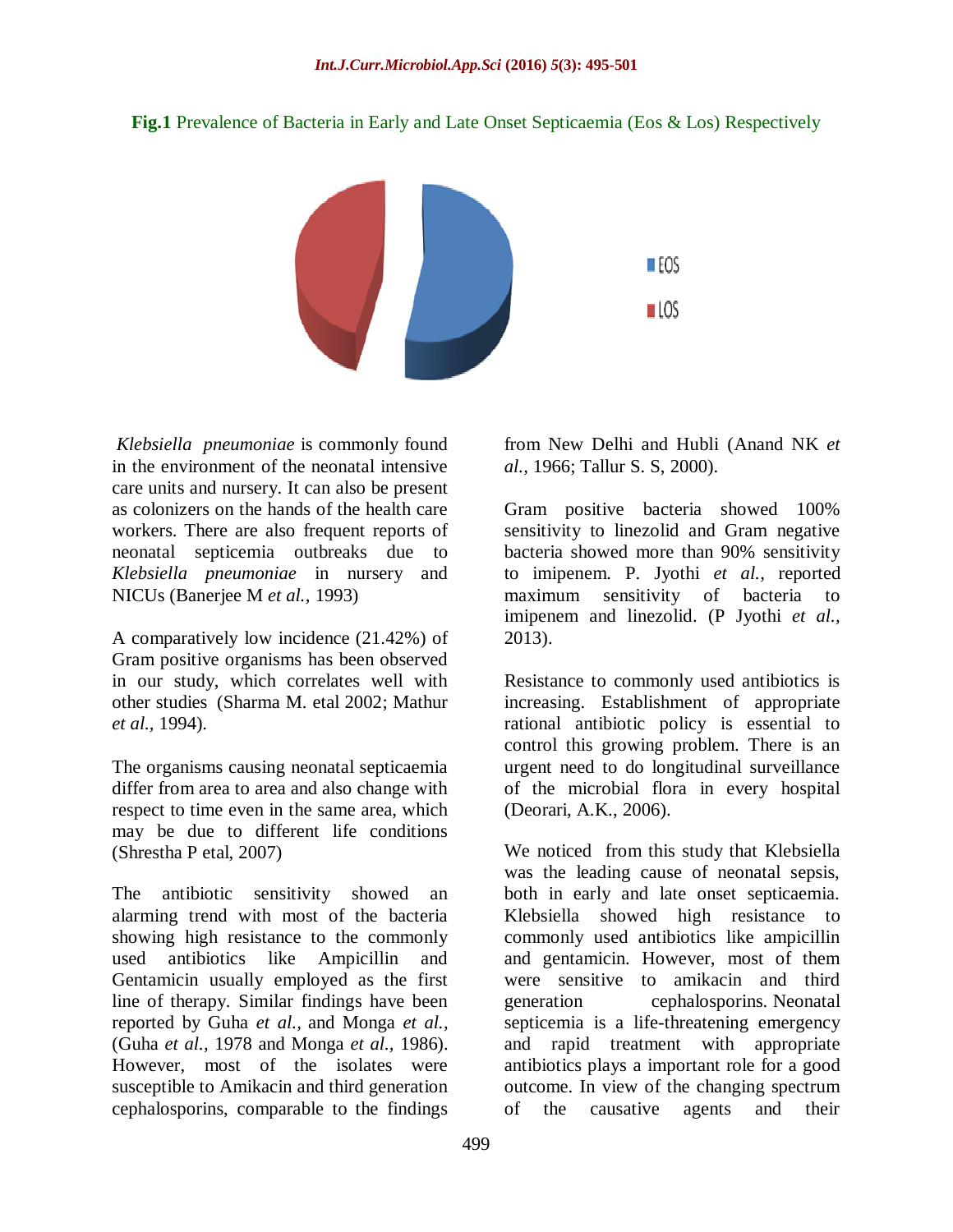**Fig.1** Prevalence of Bacteria in Early and Late Onset Septicaemia (Eos & Los) Respectively



*Klebsiella pneumoniae* is commonly found in the environment of the neonatal intensive care units and nursery. It can also be present as colonizers on the hands of the health care workers. There are also frequent reports of neonatal septicemia outbreaks due to *Klebsiella pneumoniae* in nursery and NICUs (Banerjee M *et al.,* 1993)

A comparatively low incidence (21.42%) of Gram positive organisms has been observed in our study, which correlates well with other studies (Sharma M. etal 2002; Mathur *et al.,* 1994).

The organisms causing neonatal septicaemia differ from area to area and also change with respect to time even in the same area, which may be due to different life conditions (Shrestha P etal, 2007)

The antibiotic sensitivity showed an alarming trend with most of the bacteria showing high resistance to the commonly used antibiotics like Ampicillin and Gentamicin usually employed as the first line of therapy. Similar findings have been reported by Guha *et al.,* and Monga *et al.,* (Guha *et al.,* 1978 and Monga *et al.,* 1986). However, most of the isolates were susceptible to Amikacin and third generation cephalosporins, comparable to the findings

from New Delhi and Hubli (Anand NK *et al.,* 1966; Tallur S. S, 2000).

Gram positive bacteria showed 100% sensitivity to linezolid and Gram negative bacteria showed more than 90% sensitivity to imipenem. P. Jyothi *et al.,* reported maximum sensitivity of bacteria to imipenem and linezolid. (P Jyothi *et al.,* 2013).

Resistance to commonly used antibiotics is increasing. Establishment of appropriate rational antibiotic policy is essential to control this growing problem. There is an urgent need to do longitudinal surveillance of the microbial flora in every hospital (Deorari, A.K., 2006).

We noticed from this study that Klebsiella was the leading cause of neonatal sepsis, both in early and late onset septicaemia. Klebsiella showed high resistance to commonly used antibiotics like ampicillin and gentamicin. However, most of them were sensitive to amikacin and third generation cephalosporins. Neonatal septicemia is a life-threatening emergency and rapid treatment with appropriate antibiotics plays a important role for a good outcome. In view of the changing spectrum of the causative agents and their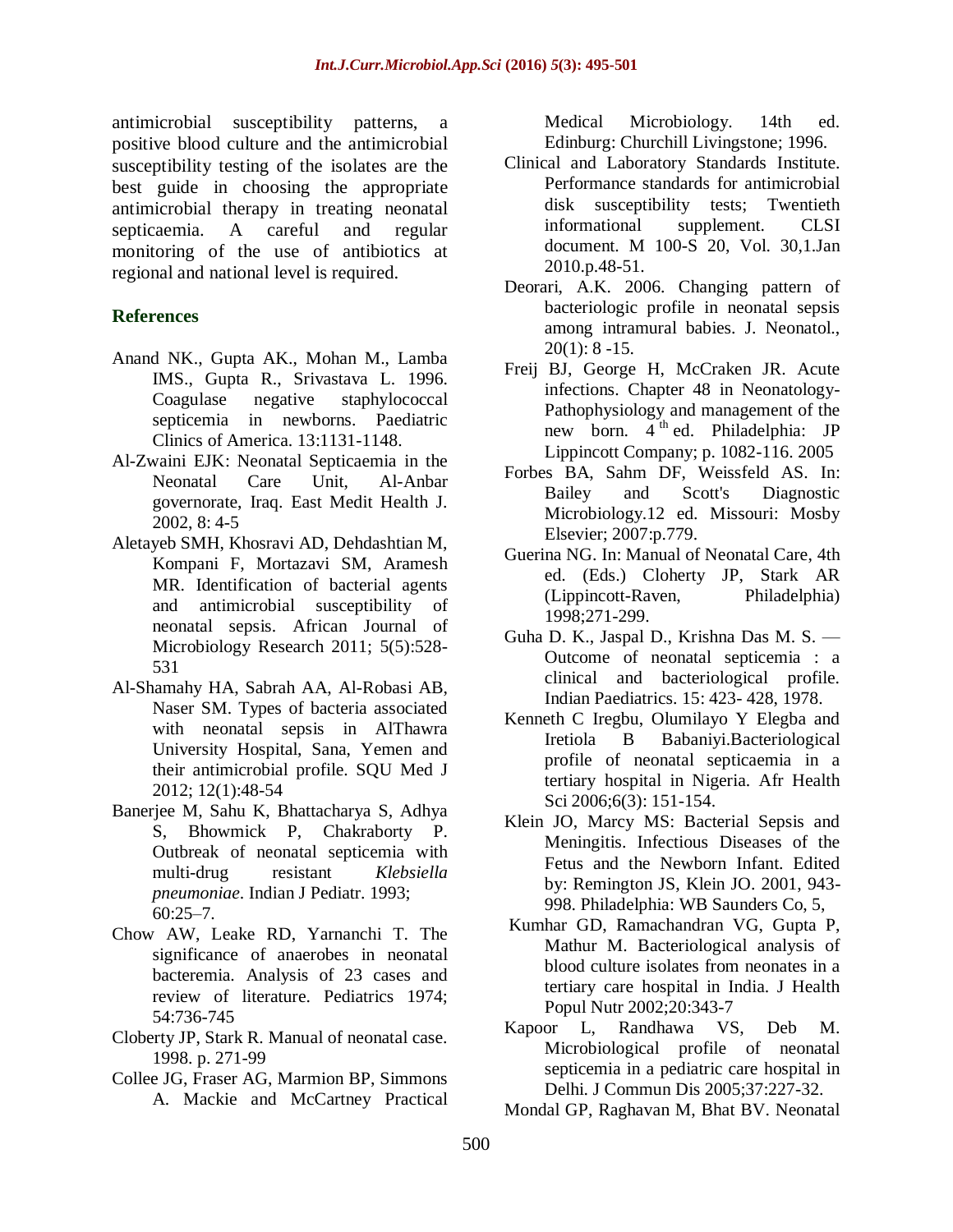antimicrobial susceptibility patterns, a positive blood culture and the antimicrobial susceptibility testing of the isolates are the best guide in choosing the appropriate antimicrobial therapy in treating neonatal septicaemia. A careful and regular monitoring of the use of antibiotics at regional and national level is required.

# **References**

- Anand NK., Gupta AK., Mohan M., Lamba IMS., Gupta R., Srivastava L. 1996. Coagulase negative staphylococcal septicemia in newborns. Paediatric Clinics of America. 13:1131-1148.
- Al-Zwaini EJK: Neonatal Septicaemia in the Neonatal Care Unit, Al-Anbar governorate, Iraq. East Medit Health J. 2002, 8: 4-5
- Aletayeb SMH, Khosravi AD, Dehdashtian M, Kompani F, Mortazavi SM, Aramesh MR. Identification of bacterial agents and antimicrobial susceptibility of neonatal sepsis. African Journal of Microbiology Research 2011; 5(5):528- 531
- Al-Shamahy HA, Sabrah AA, Al-Robasi AB, Naser SM. Types of bacteria associated with neonatal sepsis in AlThawra University Hospital, Sana, Yemen and their antimicrobial profile. SQU Med J 2012; 12(1):48-54
- Banerjee M, Sahu K, Bhattacharya S, Adhya S, Bhowmick P, Chakraborty P. Outbreak of neonatal septicemia with multi-drug resistant *Klebsiella pneumoniae*. Indian J Pediatr. 1993;  $60:25-7$ .
- Chow AW, Leake RD, Yarnanchi T. The significance of anaerobes in neonatal bacteremia. Analysis of 23 cases and review of literature. Pediatrics 1974; 54:736-745
- Cloberty JP, Stark R. Manual of neonatal case. 1998. p. 271-99
- Collee JG, Fraser AG, Marmion BP, Simmons A. Mackie and McCartney Practical

Medical Microbiology. 14th ed. Edinburg: Churchill Livingstone; 1996.

- Clinical and Laboratory Standards Institute. Performance standards for antimicrobial disk susceptibility tests; Twentieth informational supplement. CLSI document. M 100-S 20, Vol. 30,1.Jan 2010.p.48-51.
- Deorari, A.K. 2006. Changing pattern of bacteriologic profile in neonatal sepsis among intramural babies. J. Neonatol.,  $20(1): 8 - 15.$
- Freij BJ, George H, McCraken JR. Acute infections. Chapter 48 in Neonatology-Pathophysiology and management of the new born. 4 th ed. Philadelphia: JP Lippincott Company; p. 1082-116. 2005
- Forbes BA, Sahm DF, Weissfeld AS. In: Bailey and Scott's Diagnostic Microbiology.12 ed. Missouri: Mosby Elsevier; 2007:p.779.
- Guerina NG. In: Manual of Neonatal Care, 4th ed. (Eds.) Cloherty JP, Stark AR (Lippincott-Raven, Philadelphia) 1998;271-299.
- Guha D. K., Jaspal D., Krishna Das M. S. Outcome of neonatal septicemia : a clinical and bacteriological profile. Indian Paediatrics. 15: 423- 428, 1978.
- Kenneth C Iregbu, Olumilayo Y Elegba and Iretiola B Babaniyi.Bacteriological profile of neonatal septicaemia in a tertiary hospital in Nigeria. Afr Health Sci 2006;6(3): 151-154.
- Klein JO, Marcy MS: Bacterial Sepsis and Meningitis. Infectious Diseases of the Fetus and the Newborn Infant. Edited by: Remington JS, Klein JO. 2001, 943- 998. Philadelphia: WB Saunders Co, 5,
- Kumhar GD, Ramachandran VG, Gupta P, Mathur M. Bacteriological analysis of blood culture isolates from neonates in a tertiary care hospital in India. J Health Popul Nutr 2002;20:343-7
- Kapoor L, Randhawa VS, Deb M. Microbiological profile of neonatal septicemia in a pediatric care hospital in Delhi. J Commun Dis 2005;37:227-32.
- Mondal GP, Raghavan M, Bhat BV. Neonatal